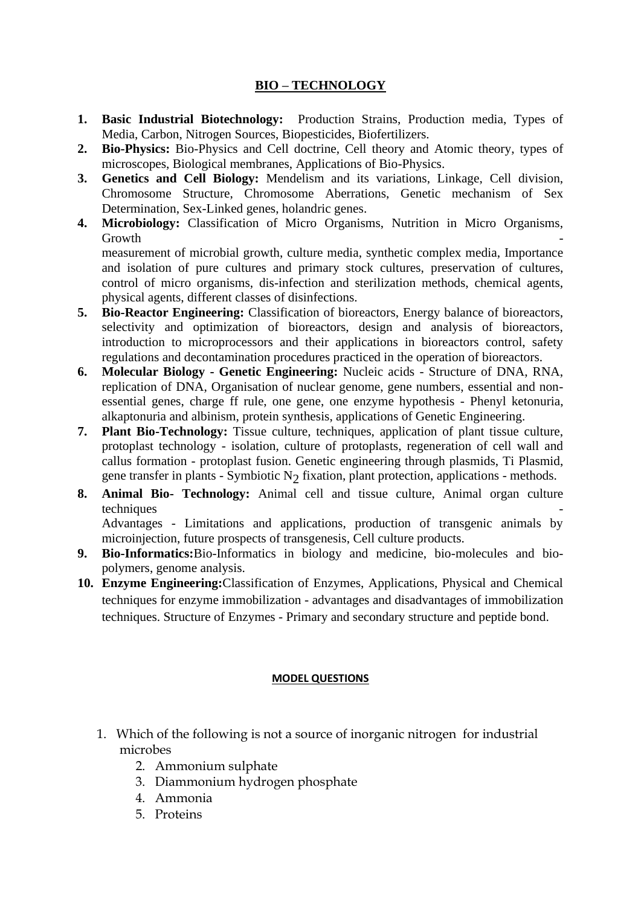## **BIO – TECHNOLOGY**

- **1. Basic Industrial Biotechnology:** Production Strains, Production media, Types of Media, Carbon, Nitrogen Sources, Biopesticides, Biofertilizers.
- **2. Bio-Physics:** Bio-Physics and Cell doctrine, Cell theory and Atomic theory, types of microscopes, Biological membranes, Applications of Bio-Physics.
- **3. Genetics and Cell Biology:** Mendelism and its variations, Linkage, Cell division, Chromosome Structure, Chromosome Aberrations, Genetic mechanism of Sex Determination, Sex-Linked genes, holandric genes.
- **4. Microbiology:** Classification of Micro Organisms, Nutrition in Micro Organisms, Growth the contract of the contract of the contract of the contract of the contract of the contract of the contract of the contract of the contract of the contract of the contract of the contract of the contract of the con measurement of microbial growth, culture media, synthetic complex media, Importance and isolation of pure cultures and primary stock cultures, preservation of cultures, control of micro organisms, dis-infection and sterilization methods, chemical agents, physical agents, different classes of disinfections.
- **5. Bio-Reactor Engineering:** Classification of bioreactors, Energy balance of bioreactors, selectivity and optimization of bioreactors, design and analysis of bioreactors, introduction to microprocessors and their applications in bioreactors control, safety regulations and decontamination procedures practiced in the operation of bioreactors.
- **6. Molecular Biology - Genetic Engineering:** Nucleic acids Structure of DNA, RNA, replication of DNA, Organisation of nuclear genome, gene numbers, essential and nonessential genes, charge ff rule, one gene, one enzyme hypothesis - Phenyl ketonuria, alkaptonuria and albinism, protein synthesis, applications of Genetic Engineering.
- **7. Plant Bio-Technology:** Tissue culture, techniques, application of plant tissue culture, protoplast technology - isolation, culture of protoplasts, regeneration of cell wall and callus formation - protoplast fusion. Genetic engineering through plasmids, Ti Plasmid, gene transfer in plants - Symbiotic N<sub>2</sub> fixation, plant protection, applications - methods.
- **8. Animal Bio- Technology:** Animal cell and tissue culture, Animal organ culture techniques

Advantages - Limitations and applications, production of transgenic animals by microinjection, future prospects of transgenesis, Cell culture products.

- **9. Bio-Informatics:**Bio-Informatics in biology and medicine, bio-molecules and biopolymers, genome analysis.
- **10. Enzyme Engineering:**Classification of Enzymes, Applications, Physical and Chemical techniques for enzyme immobilization - advantages and disadvantages of immobilization techniques. Structure of Enzymes - Primary and secondary structure and peptide bond.

## **MODEL QUESTIONS**

- 1. Which of the following is not a source of inorganic nitrogen for industrial microbes
	- 2. Ammonium sulphate
	- 3. Diammonium hydrogen phosphate
	- 4. Ammonia
	- 5. Proteins